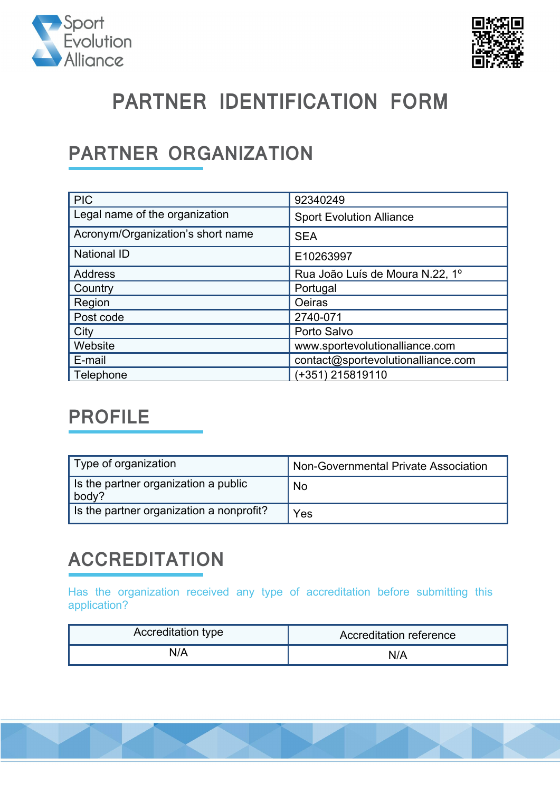



# **PARTNER IDENTIFICATION FORM**

### **PARTNER ORGANIZATION**

| <b>PIC</b>                        | 92340249                           |
|-----------------------------------|------------------------------------|
| Legal name of the organization    | <b>Sport Evolution Alliance</b>    |
| Acronym/Organization's short name | <b>SEA</b>                         |
| <b>National ID</b>                | E10263997                          |
| <b>Address</b>                    | Rua João Luís de Moura N.22, 1º    |
| Country                           | Portugal                           |
| Region                            | Oeiras                             |
| Post code                         | 2740-071                           |
| City                              | Porto Salvo                        |
| Website                           | www.sportevolutionalliance.com     |
| E-mail                            | contact@sportevolutionalliance.com |
| Telephone                         | (+351) 215819110                   |

### **PROFILE**

| Type of organization                          | Non-Governmental Private Association |
|-----------------------------------------------|--------------------------------------|
| Is the partner organization a public<br>body? | <b>No</b>                            |
| Is the partner organization a nonprofit?      | Yes                                  |

## **ACCREDITATION**

Has the organization received any type of accreditation before submitting this application?

| Accreditation type | Accreditation reference |
|--------------------|-------------------------|
| N/A                | N/A                     |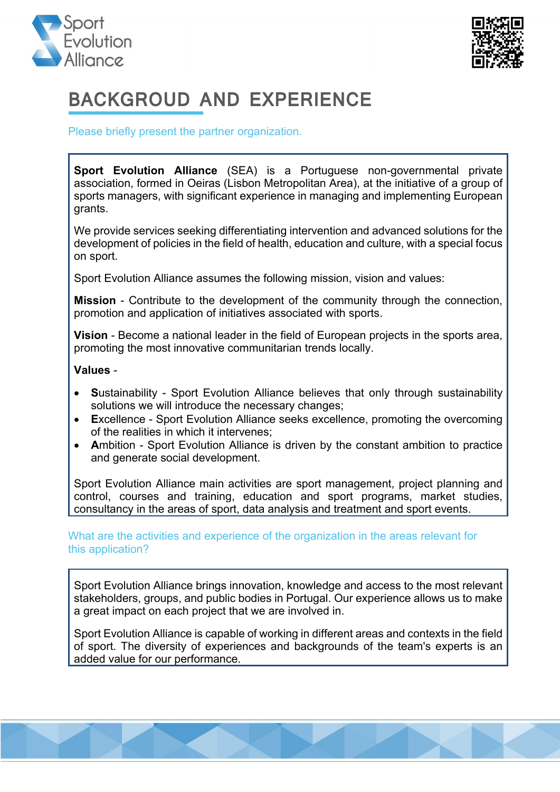



## **BACKGROUD AND EXPERIENCE**

Please briefly present the partner organization.

**Sport Evolution Alliance** (SEA) is a Portuguese non-governmental private association, formed in Oeiras (Lisbon Metropolitan Area), at the initiative of a group of sports managers, with significant experience in managing and implementing European grants.

We provide services seeking differentiating intervention and advanced solutions for the development of policies in the field of health, education and culture, with a special focus on sport.

Sport Evolution Alliance assumes the following mission, vision and values:

**Mission** - Contribute to the development of the community through the connection, promotion and application of initiatives associated with sports.

**Vision** - Become a national leader in the field of European projects in the sports area, promoting the most innovative communitarian trends locally.

#### **Values** -

- **S**ustainability Sport Evolution Alliance believes that only through sustainability solutions we will introduce the necessary changes;
- **E**xcellence Sport Evolution Alliance seeks excellence, promoting the overcoming of the realities in which it intervenes;
- **A**mbition Sport Evolution Alliance is driven by the constant ambition to practice and generate social development.

Sport Evolution Alliance main activities are sport management, project planning and control, courses and training, education and sport programs, market studies, consultancy in the areas of sport, data analysis and treatment and sport events.

What are the activities and experience of the organization in the areas relevant for this application?

Sport Evolution Alliance brings innovation, knowledge and access to the most relevant stakeholders, groups, and public bodies in Portugal. Our experience allows us to make a great impact on each project that we are involved in.

Sport Evolution Alliance is capable of working in different areas and contexts in the field of sport. The diversity of experiences and backgrounds of the team's experts is an added value for our performance.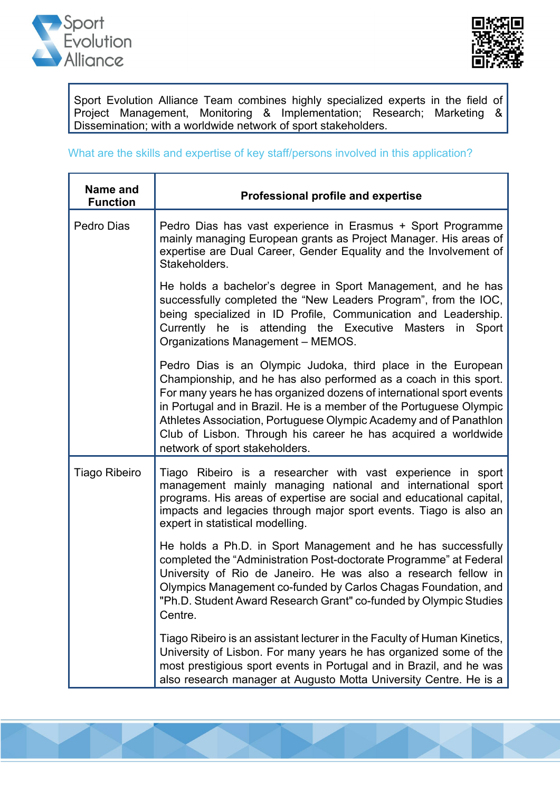



Sport Evolution Alliance Team combines highly specialized experts in the field of Project Management, Monitoring & Implementation; Research; Marketing & Dissemination; with a worldwide network of sport stakeholders.

#### What are the skills and expertise of key staff/persons involved in this application?

| Name and<br><b>Function</b> | <b>Professional profile and expertise</b>                                                                                                                                                                                                                                                                                                                                                                                                                 |  |
|-----------------------------|-----------------------------------------------------------------------------------------------------------------------------------------------------------------------------------------------------------------------------------------------------------------------------------------------------------------------------------------------------------------------------------------------------------------------------------------------------------|--|
| Pedro Dias                  | Pedro Dias has vast experience in Erasmus + Sport Programme<br>mainly managing European grants as Project Manager. His areas of<br>expertise are Dual Career, Gender Equality and the Involvement of<br>Stakeholders.                                                                                                                                                                                                                                     |  |
|                             | He holds a bachelor's degree in Sport Management, and he has<br>successfully completed the "New Leaders Program", from the IOC,<br>being specialized in ID Profile, Communication and Leadership.<br>Currently he is attending the Executive Masters<br>in<br>Sport<br>Organizations Management - MEMOS.                                                                                                                                                  |  |
|                             | Pedro Dias is an Olympic Judoka, third place in the European<br>Championship, and he has also performed as a coach in this sport.<br>For many years he has organized dozens of international sport events<br>in Portugal and in Brazil. He is a member of the Portuguese Olympic<br>Athletes Association, Portuguese Olympic Academy and of Panathlon<br>Club of Lisbon. Through his career he has acquired a worldwide<br>network of sport stakeholders. |  |
| <b>Tiago Ribeiro</b>        | Tiago Ribeiro is a researcher with vast experience in sport<br>management mainly managing national and international sport<br>programs. His areas of expertise are social and educational capital,<br>impacts and legacies through major sport events. Tiago is also an<br>expert in statistical modelling.                                                                                                                                               |  |
|                             | He holds a Ph.D. in Sport Management and he has successfully<br>completed the "Administration Post-doctorate Programme" at Federal<br>University of Rio de Janeiro. He was also a research fellow in<br>Olympics Management co-funded by Carlos Chagas Foundation, and<br>"Ph.D. Student Award Research Grant" co-funded by Olympic Studies<br>Centre.                                                                                                    |  |
|                             | Tiago Ribeiro is an assistant lecturer in the Faculty of Human Kinetics,<br>University of Lisbon. For many years he has organized some of the<br>most prestigious sport events in Portugal and in Brazil, and he was<br>also research manager at Augusto Motta University Centre. He is a                                                                                                                                                                 |  |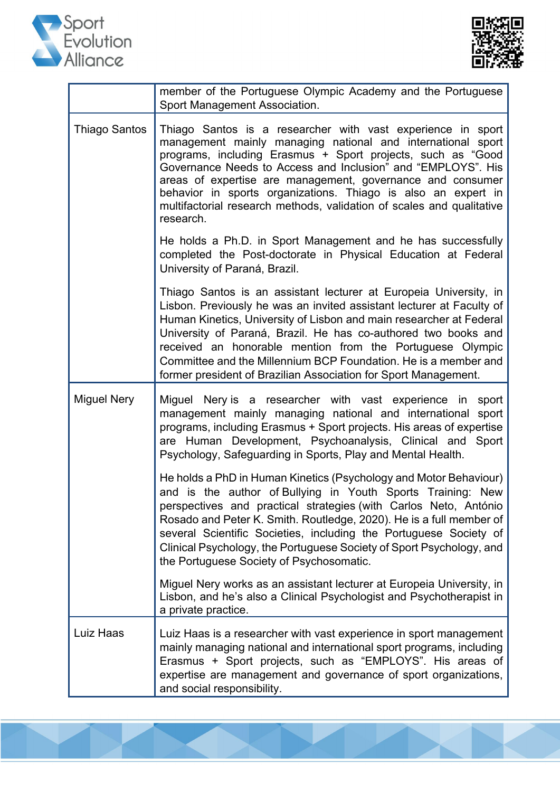



|                      | member of the Portuguese Olympic Academy and the Portuguese<br>Sport Management Association.                                                                                                                                                                                                                                                                                                                                                                                           |  |  |
|----------------------|----------------------------------------------------------------------------------------------------------------------------------------------------------------------------------------------------------------------------------------------------------------------------------------------------------------------------------------------------------------------------------------------------------------------------------------------------------------------------------------|--|--|
| <b>Thiago Santos</b> | Thiago Santos is a researcher with vast experience in sport<br>management mainly managing national and international sport<br>programs, including Erasmus + Sport projects, such as "Good<br>Governance Needs to Access and Inclusion" and "EMPLOYS". His<br>areas of expertise are management, governance and consumer<br>behavior in sports organizations. Thiago is also an expert in<br>multifactorial research methods, validation of scales and qualitative<br>research.         |  |  |
|                      | He holds a Ph.D. in Sport Management and he has successfully<br>completed the Post-doctorate in Physical Education at Federal<br>University of Paraná, Brazil.                                                                                                                                                                                                                                                                                                                         |  |  |
|                      | Thiago Santos is an assistant lecturer at Europeia University, in<br>Lisbon. Previously he was an invited assistant lecturer at Faculty of<br>Human Kinetics, University of Lisbon and main researcher at Federal<br>University of Paraná, Brazil. He has co-authored two books and<br>received an honorable mention from the Portuguese Olympic<br>Committee and the Millennium BCP Foundation. He is a member and<br>former president of Brazilian Association for Sport Management. |  |  |
| <b>Miguel Nery</b>   | Miguel Nery is a researcher with vast experience in<br>sport<br>management mainly managing national and international<br>sport<br>programs, including Erasmus + Sport projects. His areas of expertise<br>are Human Development, Psychoanalysis, Clinical and Sport<br>Psychology, Safeguarding in Sports, Play and Mental Health.                                                                                                                                                     |  |  |
|                      | He holds a PhD in Human Kinetics (Psychology and Motor Behaviour)<br>and is the author of Bullying in Youth Sports Training: New<br>perspectives and practical strategies (with Carlos Neto, António<br>Rosado and Peter K. Smith. Routledge, 2020). He is a full member of<br>several Scientific Societies, including the Portuguese Society of<br>Clinical Psychology, the Portuguese Society of Sport Psychology, and<br>the Portuguese Society of Psychosomatic.                   |  |  |
|                      | Miguel Nery works as an assistant lecturer at Europeia University, in<br>Lisbon, and he's also a Clinical Psychologist and Psychotherapist in<br>a private practice.                                                                                                                                                                                                                                                                                                                   |  |  |
| Luiz Haas            | Luiz Haas is a researcher with vast experience in sport management<br>mainly managing national and international sport programs, including<br>Erasmus + Sport projects, such as "EMPLOYS". His areas of<br>expertise are management and governance of sport organizations,<br>and social responsibility.                                                                                                                                                                               |  |  |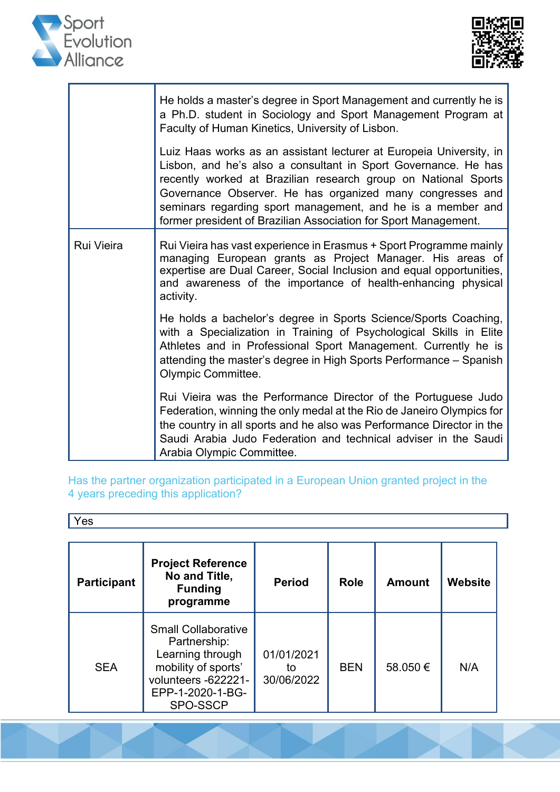



|                   | He holds a master's degree in Sport Management and currently he is<br>a Ph.D. student in Sociology and Sport Management Program at<br>Faculty of Human Kinetics, University of Lisbon.                                                                                                                                                                                                                 |  |  |
|-------------------|--------------------------------------------------------------------------------------------------------------------------------------------------------------------------------------------------------------------------------------------------------------------------------------------------------------------------------------------------------------------------------------------------------|--|--|
|                   | Luiz Haas works as an assistant lecturer at Europeia University, in<br>Lisbon, and he's also a consultant in Sport Governance. He has<br>recently worked at Brazilian research group on National Sports<br>Governance Observer. He has organized many congresses and<br>seminars regarding sport management, and he is a member and<br>former president of Brazilian Association for Sport Management. |  |  |
| <b>Rui Vieira</b> | Rui Vieira has vast experience in Erasmus + Sport Programme mainly<br>managing European grants as Project Manager. His areas of<br>expertise are Dual Career, Social Inclusion and equal opportunities,<br>and awareness of the importance of health-enhancing physical<br>activity.                                                                                                                   |  |  |
|                   | He holds a bachelor's degree in Sports Science/Sports Coaching,<br>with a Specialization in Training of Psychological Skills in Elite<br>Athletes and in Professional Sport Management. Currently he is<br>attending the master's degree in High Sports Performance - Spanish<br>Olympic Committee.                                                                                                    |  |  |
|                   | Rui Vieira was the Performance Director of the Portuguese Judo<br>Federation, winning the only medal at the Rio de Janeiro Olympics for<br>the country in all sports and he also was Performance Director in the<br>Saudi Arabia Judo Federation and technical adviser in the Saudi<br>Arabia Olympic Committee.                                                                                       |  |  |

Has the partner organization participated in a European Union granted project in the 4 years preceding this application?

Yes

| <b>Participant</b> | <b>Project Reference</b><br>No and Title,<br><b>Funding</b><br>programme                                                                     | <b>Period</b>                  | <b>Role</b> | <b>Amount</b> | Website |
|--------------------|----------------------------------------------------------------------------------------------------------------------------------------------|--------------------------------|-------------|---------------|---------|
| <b>SEA</b>         | <b>Small Collaborative</b><br>Partnership:<br>Learning through<br>mobility of sports'<br>volunteers -622221-<br>EPP-1-2020-1-BG-<br>SPO-SSCP | 01/01/2021<br>to<br>30/06/2022 | <b>BEN</b>  | 58,050€       | N/A     |